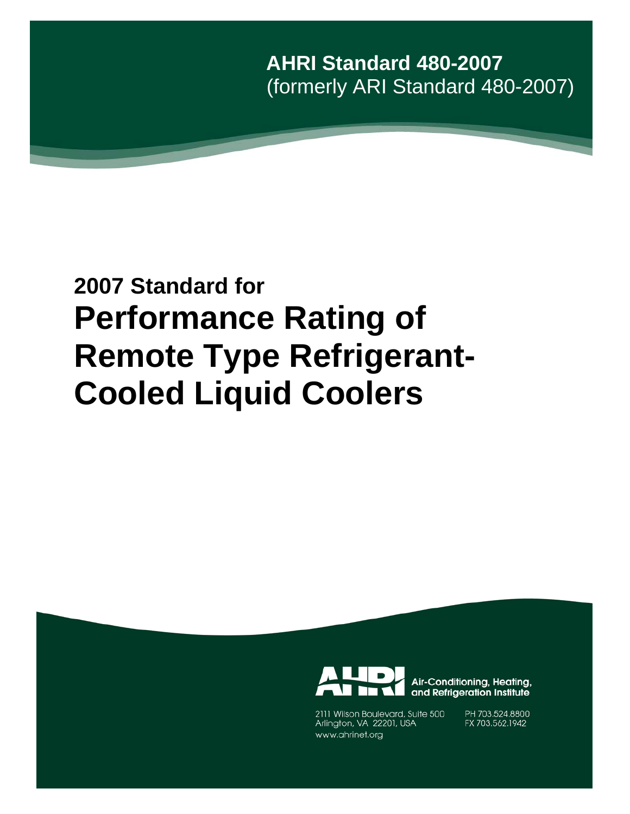**AHRI Standard 480-2007** (formerly ARI Standard 480-2007)

# **2007 Standard for Performance Rating of Remote Type Refrigerant-Cooled Liquid Coolers**



2111 Wilson Boulevard, Suite 500 Arlington, VA 22201, USA www.ahrinet.org

PH 703.524.8800 FX 703.562.1942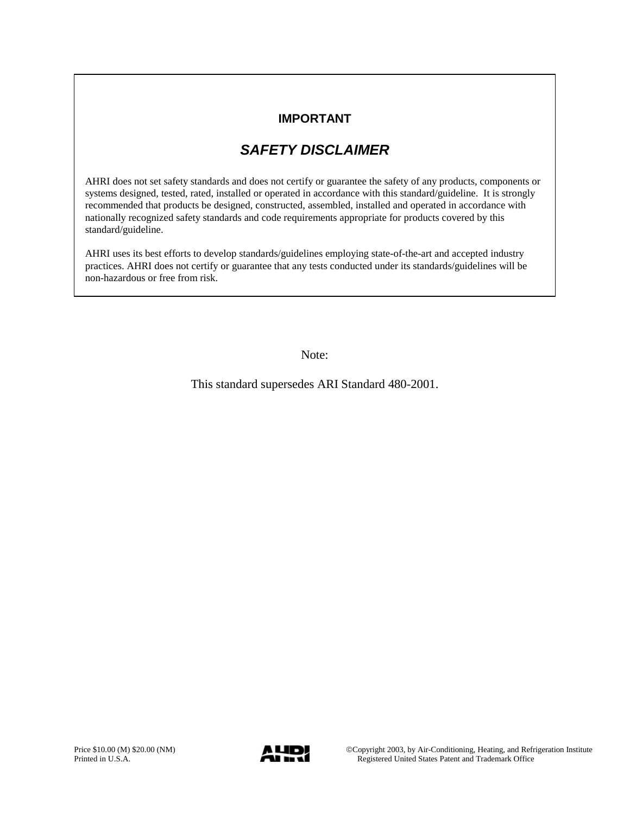### **IMPORTANT**

# *SAFETY DISCLAIMER*

AHRI does not set safety standards and does not certify or guarantee the safety of any products, components or systems designed, tested, rated, installed or operated in accordance with this standard/guideline. It is strongly recommended that products be designed, constructed, assembled, installed and operated in accordance with nationally recognized safety standards and code requirements appropriate for products covered by this standard/guideline.

AHRI uses its best efforts to develop standards/guidelines employing state-of-the-art and accepted industry practices. AHRI does not certify or guarantee that any tests conducted under its standards/guidelines will be non-hazardous or free from risk.

Note:

This standard supersedes ARI Standard 480-2001.

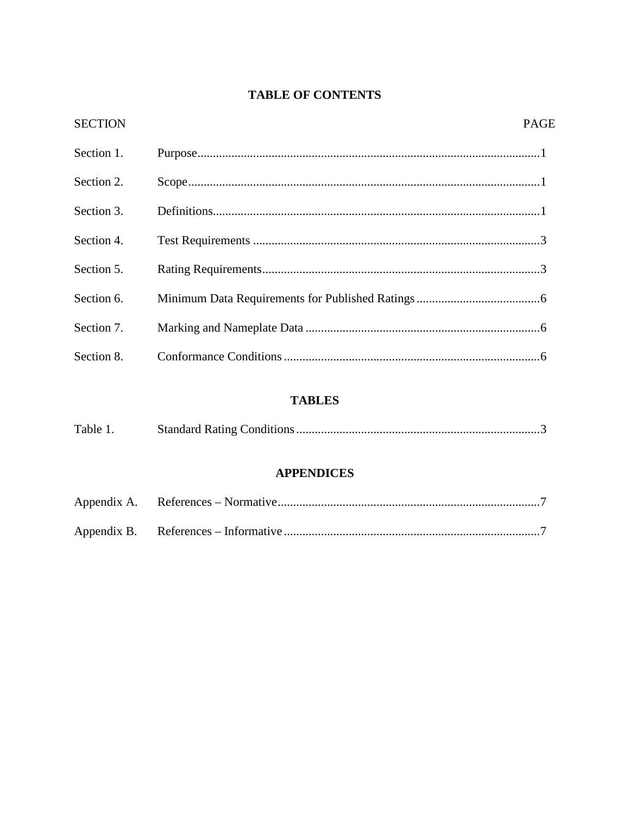## **TABLE OF CONTENTS**

| <b>SECTION</b> | <b>PAGE</b> |
|----------------|-------------|
| Section 1.     |             |
| Section 2.     |             |
| Section 3.     |             |
| Section 4.     |             |
| Section 5.     |             |
| Section 6.     |             |
| Section 7.     |             |
| Section 8.     |             |

### **TABLES**

| Table 1. |  |
|----------|--|
|          |  |

### **APPENDICES**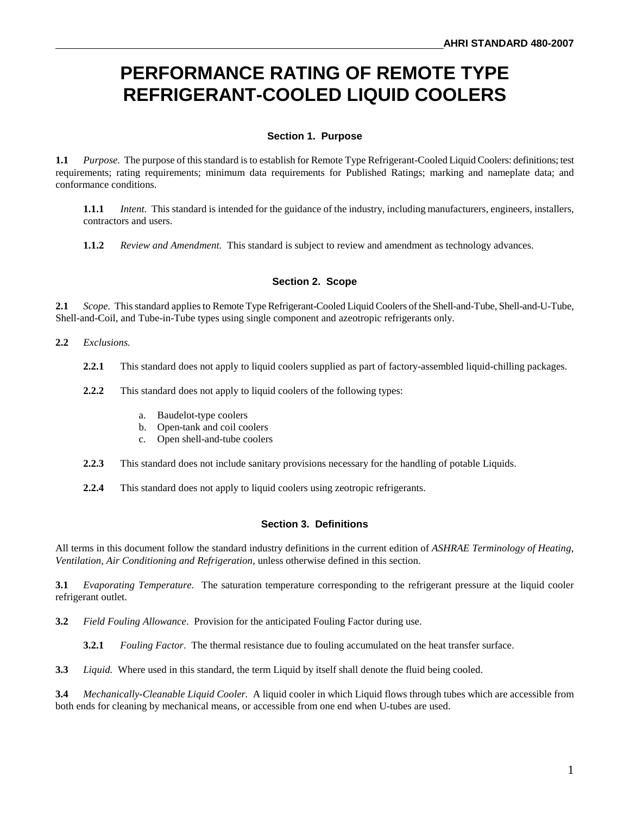# **PERFORMANCE RATING OF REMOTE TYPE REFRIGERANT-COOLED LIQUID COOLERS**

#### **Section 1. Purpose**

**1.1** *Purpose.* The purpose of this standard is to establish for Remote Type Refrigerant-Cooled Liquid Coolers: definitions; test requirements; rating requirements; minimum data requirements for Published Ratings; marking and nameplate data; and conformance conditions.

**1.1.1** *Intent.* This standard is intended for the guidance of the industry, including manufacturers, engineers, installers, contractors and users.

**1.1.2** *Review and Amendment.* This standard is subject to review and amendment as technology advances.

#### **Section 2. Scope**

**2.1** *Scope.* This standard applies to Remote Type Refrigerant-Cooled Liquid Coolers of the Shell-and-Tube, Shell-and-U-Tube, Shell-and-Coil, and Tube-in-Tube types using single component and azeotropic refrigerants only.

#### **2.2** *Exclusions.*

- **2.2.1** This standard does not apply to liquid coolers supplied as part of factory-assembled liquid-chilling packages.
- **2.2.2** This standard does not apply to liquid coolers of the following types:
	- a. Baudelot-type coolers
	- b. Open-tank and coil coolers
	- c. Open shell-and-tube coolers
- **2.2.3** This standard does not include sanitary provisions necessary for the handling of potable Liquids.
- **2.2.4** This standard does not apply to liquid coolers using zeotropic refrigerants.

#### **Section 3. Definitions**

All terms in this document follow the standard industry definitions in the current edition of *ASHRAE Terminology of Heating, Ventilation, Air Conditioning and Refrigeration*, unless otherwise defined in this section.

**3.1** *Evaporating Temperature.* The saturation temperature corresponding to the refrigerant pressure at the liquid cooler refrigerant outlet.

**3.2** *Field Fouling Allowance*. Provision for the anticipated Fouling Factor during use.

**3.2.1** *Fouling Factor*. The thermal resistance due to fouling accumulated on the heat transfer surface.

**3.3** *Liquid.* Where used in this standard, the term Liquid by itself shall denote the fluid being cooled.

**3.4** *Mechanically-Cleanable Liquid Cooler.* A liquid cooler in which Liquid flows through tubes which are accessible from both ends for cleaning by mechanical means, or accessible from one end when U-tubes are used.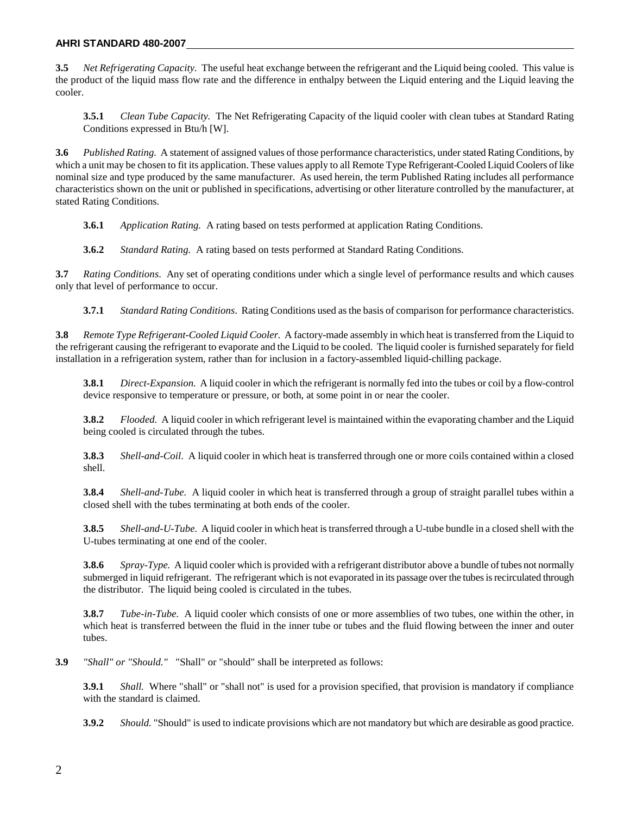#### **AHRI STANDARD 480-2007**

**3.5** *Net Refrigerating Capacity.* The useful heat exchange between the refrigerant and the Liquid being cooled. This value is the product of the liquid mass flow rate and the difference in enthalpy between the Liquid entering and the Liquid leaving the cooler.

**3.5.1** *Clean Tube Capacity.* The Net Refrigerating Capacity of the liquid cooler with clean tubes at Standard Rating Conditions expressed in Btu/h [W].

**3.6** *Published Rating.* A statement of assigned values of those performance characteristics, under stated Rating Conditions, by which a unit may be chosen to fit its application. These values apply to all Remote Type Refrigerant-Cooled Liquid Coolers of like nominal size and type produced by the same manufacturer. As used herein, the term Published Rating includes all performance characteristics shown on the unit or published in specifications, advertising or other literature controlled by the manufacturer, at stated Rating Conditions.

**3.6.1** *Application Rating.* A rating based on tests performed at application Rating Conditions.

**3.6.2** *Standard Rating.* A rating based on tests performed at Standard Rating Conditions.

**3.7** *Rating Conditions*. Any set of operating conditions under which a single level of performance results and which causes only that level of performance to occur.

**3.7.1** *Standard Rating Conditions*. Rating Conditions used as the basis of comparison for performance characteristics.

**3.8** *Remote Type Refrigerant-Cooled Liquid Cooler.* A factory-made assembly in which heat is transferred from the Liquid to the refrigerant causing the refrigerant to evaporate and the Liquid to be cooled. The liquid cooler is furnished separately for field installation in a refrigeration system, rather than for inclusion in a factory-assembled liquid-chilling package.

**3.8.1** *Direct-Expansion.* A liquid cooler in which the refrigerant is normally fed into the tubes or coil by a flow-control device responsive to temperature or pressure, or both, at some point in or near the cooler.

**3.8.2** *Flooded.* A liquid cooler in which refrigerant level is maintained within the evaporating chamber and the Liquid being cooled is circulated through the tubes.

**3.8.3** *Shell-and-Coil*. A liquid cooler in which heat is transferred through one or more coils contained within a closed shell.

**3.8.4** *Shell-and-Tube.* A liquid cooler in which heat is transferred through a group of straight parallel tubes within a closed shell with the tubes terminating at both ends of the cooler.

**3.8.5** *Shell-and-U-Tube.* A liquid cooler in which heat is transferred through a U-tube bundle in a closed shell with the U-tubes terminating at one end of the cooler.

**3.8.6** *Spray-Type.* A liquid cooler which is provided with a refrigerant distributor above a bundle of tubes not normally submerged in liquid refrigerant. The refrigerant which is not evaporated in its passage over the tubes is recirculated through the distributor. The liquid being cooled is circulated in the tubes.

**3.8.7** *Tube-in-Tube.* A liquid cooler which consists of one or more assemblies of two tubes, one within the other, in which heat is transferred between the fluid in the inner tube or tubes and the fluid flowing between the inner and outer tubes.

**3.9** *"Shall" or "Should."* "Shall" or "should" shall be interpreted as follows:

**3.9.1** *Shall.* Where "shall" or "shall not" is used for a provision specified, that provision is mandatory if compliance with the standard is claimed.

**3.9.2** *Should.* "Should" is used to indicate provisions which are not mandatory but which are desirable as good practice.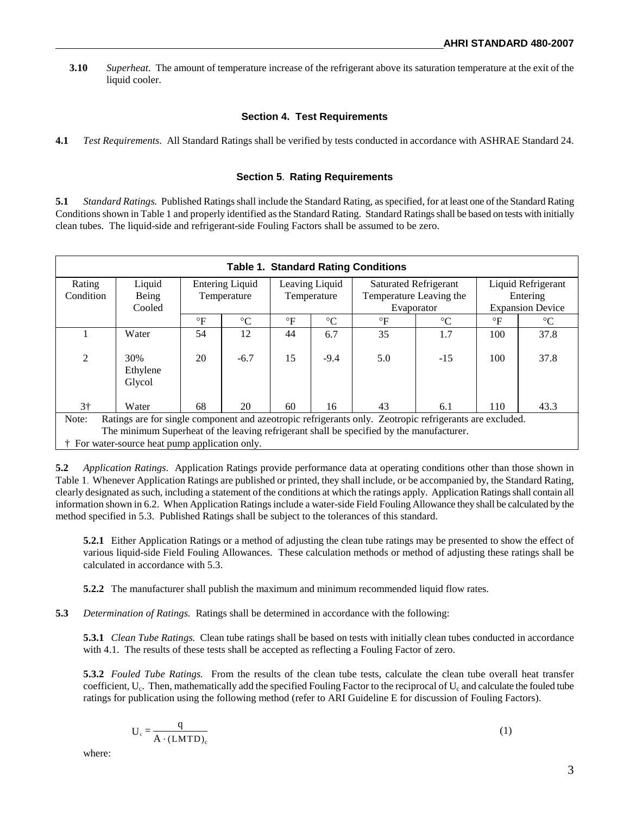**3.10** *Superheat*. The amount of temperature increase of the refrigerant above its saturation temperature at the exit of the liquid cooler.

#### **Section 4. Test Requirements**

**4.1** *Test Requirements*. All Standard Ratings shall be verified by tests conducted in accordance with ASHRAE Standard 24.

#### **Section 5**. **Rating Requirements**

**5.1** *Standard Ratings.* Published Ratings shall include the Standard Rating, as specified, for at least one of the Standard Rating Conditions shown in Table 1 and properly identified as the Standard Rating. Standard Ratings shall be based on tests with initially clean tubes. The liquid-side and refrigerant-side Fouling Factors shall be assumed to be zero.

| <b>Table 1. Standard Rating Conditions</b>                                                                       |                                                |                        |                 |                |                 |                              |                 |                         |                 |
|------------------------------------------------------------------------------------------------------------------|------------------------------------------------|------------------------|-----------------|----------------|-----------------|------------------------------|-----------------|-------------------------|-----------------|
| Rating                                                                                                           | Liquid                                         | <b>Entering Liquid</b> |                 | Leaving Liquid |                 | <b>Saturated Refrigerant</b> |                 | Liquid Refrigerant      |                 |
| Condition                                                                                                        | Being                                          | Temperature            |                 | Temperature    |                 | Temperature Leaving the      |                 | Entering                |                 |
|                                                                                                                  | Cooled                                         |                        |                 |                |                 | Evaporator                   |                 | <b>Expansion Device</b> |                 |
|                                                                                                                  |                                                | $\circ$ F              | $\rm ^{\circ}C$ | $\circ$ F      | $\rm ^{\circ}C$ | $\circ$ F                    | $\rm ^{\circ}C$ | $\circ$ F               | $\rm ^{\circ}C$ |
|                                                                                                                  | Water                                          | 54                     | 12              | 44             | 6.7             | 35                           | 1.7             | 100                     | 37.8            |
|                                                                                                                  |                                                |                        |                 |                |                 |                              |                 |                         |                 |
| $\overline{2}$                                                                                                   | 30%                                            | 20                     | $-6.7$          | 15             | $-9.4$          | 5.0                          | $-15$           | 100                     | 37.8            |
|                                                                                                                  | Ethylene                                       |                        |                 |                |                 |                              |                 |                         |                 |
|                                                                                                                  | Glycol                                         |                        |                 |                |                 |                              |                 |                         |                 |
|                                                                                                                  |                                                |                        |                 |                |                 |                              |                 |                         |                 |
| $3+$                                                                                                             | Water                                          | 68                     | 20              | 60             | 16              | 43                           | 6.1             | 110                     | 43.3            |
| Ratings are for single component and azeotropic refrigerants only. Zeotropic refrigerants are excluded.<br>Note: |                                                |                        |                 |                |                 |                              |                 |                         |                 |
| The minimum Superheat of the leaving refrigerant shall be specified by the manufacturer.                         |                                                |                        |                 |                |                 |                              |                 |                         |                 |
|                                                                                                                  | † For water-source heat pump application only. |                        |                 |                |                 |                              |                 |                         |                 |

**5.2** *Application Ratings*. Application Ratings provide performance data at operating conditions other than those shown in Table 1. Whenever Application Ratings are published or printed, they shall include, or be accompanied by, the Standard Rating, clearly designated as such, including a statement of the conditions at which the ratings apply. Application Ratings shall contain all information shown in 6.2. When Application Ratings include a water-side Field Fouling Allowance they shall be calculated by the method specified in 5.3. Published Ratings shall be subject to the tolerances of this standard.

**5.2.1** Either Application Ratings or a method of adjusting the clean tube ratings may be presented to show the effect of various liquid-side Field Fouling Allowances. These calculation methods or method of adjusting these ratings shall be calculated in accordance with 5.3.

**5.2.2** The manufacturer shall publish the maximum and minimum recommended liquid flow rates.

**5.3** *Determination of Ratings.* Ratings shall be determined in accordance with the following:

**5.3.1** *Clean Tube Ratings.* Clean tube ratings shall be based on tests with initially clean tubes conducted in accordance with 4.1. The results of these tests shall be accepted as reflecting a Fouling Factor of zero.

**5.3.2** *Fouled Tube Ratings.* From the results of the clean tube tests, calculate the clean tube overall heat transfer coefficient,  $U_c$ . Then, mathematically add the specified Fouling Factor to the reciprocal of  $U_c$  and calculate the fouled tube ratings for publication using the following method (refer to ARI Guideline E for discussion of Fouling Factors).

$$
U_c = \frac{q}{A \cdot (LMTD)_c}
$$
 (1)

where: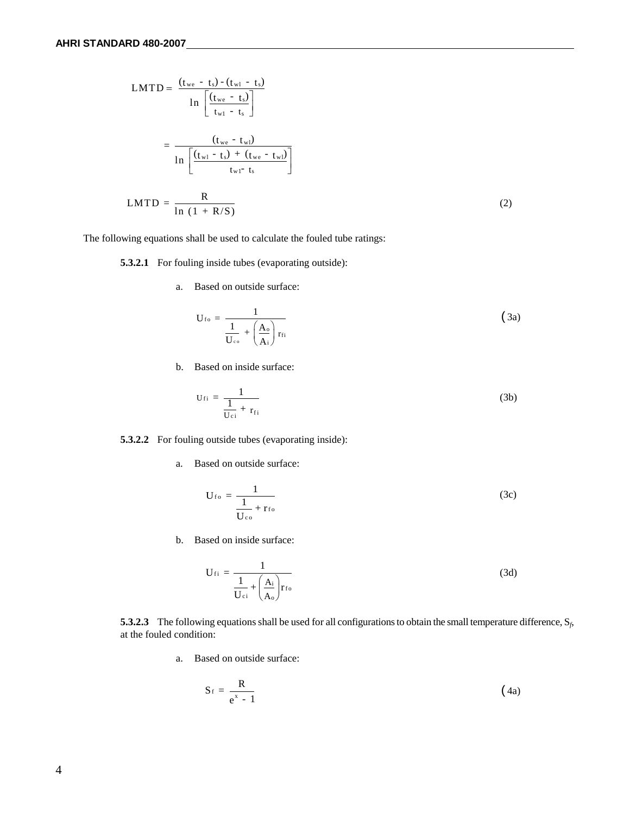$$
LMTD = \frac{(t_{we} - t_s) - (t_{w1} - t_s)}{\ln \left[\frac{(t_{we} - t_s)}{t_{w1} - t_s}\right]}
$$
  
= 
$$
\frac{(t_{we} - t_{w1})}{\ln \left[\frac{(t_{w1} - t_s) + (t_{we} - t_{w1})}{t_{w1} - t_s}\right]}
$$
  

$$
LMTD = \frac{R}{\ln (1 + R/S)}
$$
 (2)

The following equations shall be used to calculate the fouled tube ratings:

**5.3.2.1** For fouling inside tubes (evaporating outside):

a. Based on outside surface:

$$
U_{fo} = \frac{1}{\frac{1}{U_{co}} + \left(\frac{A_o}{A_i}\right) r_{fi}}
$$
(3a)

b. Based on inside surface:

$$
U_{fi} = \frac{1}{\frac{1}{U_{ci}} + r_{fi}}\tag{3b}
$$

#### **5.3.2.2** For fouling outside tubes (evaporating inside):

a. Based on outside surface:

$$
U_{\rm fo} = \frac{1}{\frac{1}{U_{\rm co}} + r_{\rm fo}}
$$
 (3c)

b. Based on inside surface:

$$
U_{fi} = \frac{1}{\frac{1}{U_{ci}} + \left(\frac{A_i}{A_o}\right) r_{fo}}
$$
(3d)

**5.3.2.3** The following equations shall be used for all configurations to obtain the small temperature difference, S*f*, at the fouled condition:

a. Based on outside surface:

$$
S_f = \frac{R}{e^x - 1} \tag{4a}
$$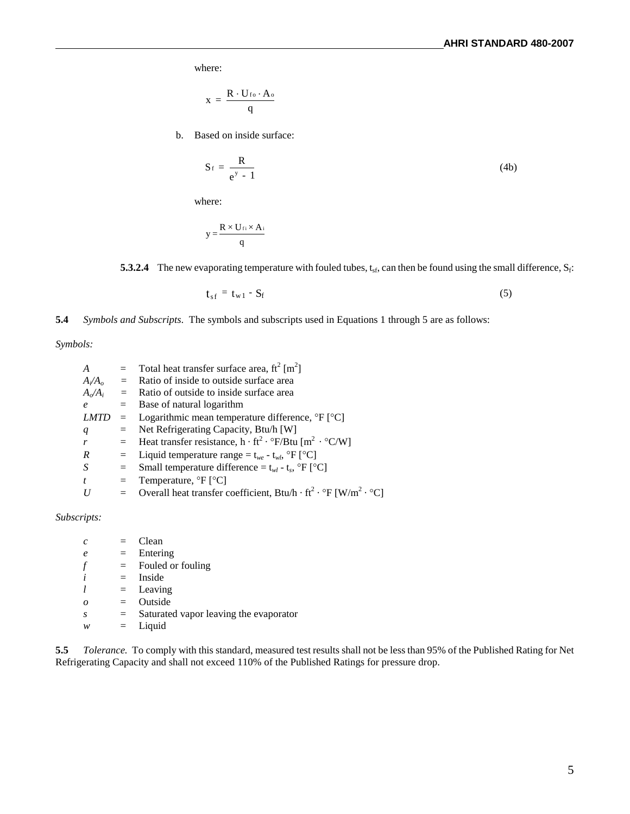where:

$$
x = \frac{R \cdot U_{\rm fo} \cdot A_{\rm o}}{q}
$$

b. Based on inside surface:

$$
S_f = \frac{R}{e^y - 1} \tag{4b}
$$

where:

$$
y = \frac{R \times U_{fi} \times A_i}{q}
$$

**5.3.2.4** The new evaporating temperature with fouled tubes,  $t_{sf}$ , can then be found using the small difference,  $S_f$ :

$$
t_{sf} = t_{w1} - S_f \tag{5}
$$

**5.4** *Symbols and Subscripts*. The symbols and subscripts used in Equations 1 through 5 are as follows:

*Symbols:*

| A                | $=$      | Total heat transfer surface area, $ft^2$ [m <sup>2</sup> ]                                               |
|------------------|----------|----------------------------------------------------------------------------------------------------------|
| $A_i/A_o$        | $=$      | Ratio of inside to outside surface area                                                                  |
| $A_o/A_i$        | $\equiv$ | Ratio of outside to inside surface area                                                                  |
| $\boldsymbol{e}$ |          | $=$ Base of natural logarithm                                                                            |
| <b>LMTD</b>      |          | $\equiv$ Logarithmic mean temperature difference, ${}^{\circ}F$ [ ${}^{\circ}C$ ]                        |
| $\boldsymbol{q}$ | $=$      | Net Refrigerating Capacity, Btu/h [W]                                                                    |
|                  |          | = Heat transfer resistance, $h \cdot ft^2 \cdot {}^{\circ}F/Btu$ [m <sup>2</sup> $\cdot {}^{\circ}C/W$ ] |
| R                | $=$      | Liquid temperature range = $t_{we}$ - $t_{wl}$ , ${}^{\circ}$ F [ ${}^{\circ}$ C]                        |
| S                | $=$      | Small temperature difference = $t_{wl}$ - $t_s$ , °F [°C]                                                |
| t                | $=$      | Temperature, ${}^{\circ}F$ [ ${}^{\circ}C$ ]                                                             |
|                  |          | = Overall heat transfer coefficient, Btu/h · ft <sup>2</sup> · $\rm{P}F[W/m^2 \cdot \rm{P}C]$            |

*Subscripts:*

| $\mathcal{C}$ |     | Clean                                  |
|---------------|-----|----------------------------------------|
| $\epsilon$    | $=$ | Entering                               |
|               | $=$ | Fouled or fouling                      |
|               | $=$ | Inside                                 |
|               |     | $=$ Leaving                            |
| 0             | $=$ | Outside                                |
| S             | $=$ | Saturated vapor leaving the evaporator |
| w             | $=$ | Liquid                                 |

**5.5** *Tolerance.* To comply with this standard, measured test results shall not be less than 95% of the Published Rating for Net Refrigerating Capacity and shall not exceed 110% of the Published Ratings for pressure drop.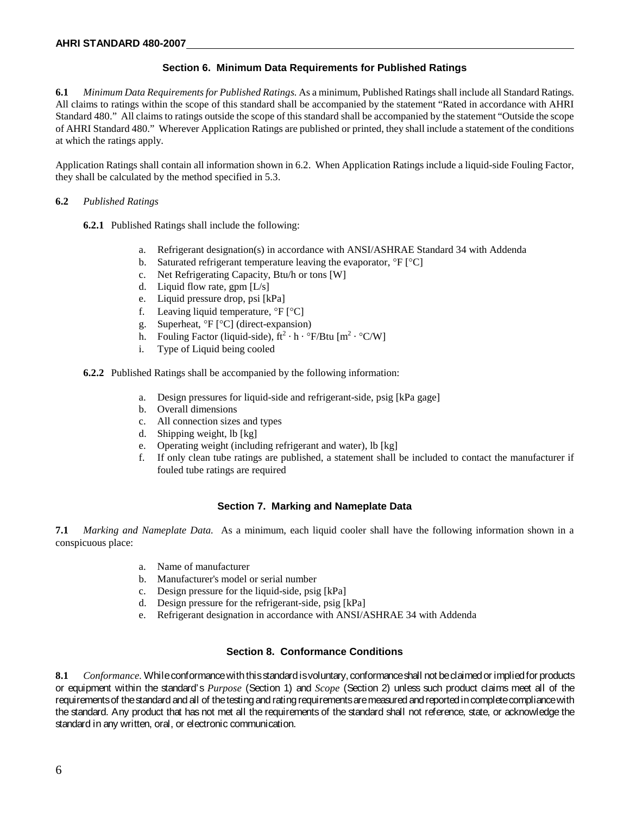#### **Section 6. Minimum Data Requirements for Published Ratings**

**6.1** *Minimum Data Requirements for Published Ratings.* As a minimum, Published Ratings shall include all Standard Ratings. All claims to ratings within the scope of this standard shall be accompanied by the statement "Rated in accordance with AHRI Standard 480." All claims to ratings outside the scope of this standard shall be accompanied by the statement "Outside the scope of AHRI Standard 480." Wherever Application Ratings are published or printed, they shall include a statement of the conditions at which the ratings apply.

Application Ratings shall contain all information shown in 6.2. When Application Ratings include a liquid-side Fouling Factor, they shall be calculated by the method specified in 5.3.

#### **6.2** *Published Ratings*

**6.2.1** Published Ratings shall include the following:

- a. Refrigerant designation(s) in accordance with ANSI/ASHRAE Standard 34 with Addenda
- b. Saturated refrigerant temperature leaving the evaporator,  ${}^{\circ}F$   ${}^{\circ}C$ ]
- c. Net Refrigerating Capacity, Btu/h or tons [W]
- d. Liquid flow rate, gpm [L/s]
- e. Liquid pressure drop, psi [kPa]
- f. Leaving liquid temperature,  ${}^{\circ}F$   ${}^{\circ}C$ ]
- g. Superheat, °F [°C] (direct-expansion)
- h. Fouling Factor (liquid-side),  $ft^2 \cdot h \cdot {}^{\circ}F/Bt \cdot [m^2 \cdot {}^{\circ}C/W]$
- i. Type of Liquid being cooled

**6.2.2** Published Ratings shall be accompanied by the following information:

- a. Design pressures for liquid-side and refrigerant-side, psig [kPa gage]
- b. Overall dimensions
- c. All connection sizes and types
- d. Shipping weight, lb [kg]
- e. Operating weight (including refrigerant and water), lb [kg]
- f. If only clean tube ratings are published, a statement shall be included to contact the manufacturer if fouled tube ratings are required

#### **Section 7. Marking and Nameplate Data**

**7.1** *Marking and Nameplate Data.* As a minimum, each liquid cooler shall have the following information shown in a conspicuous place:

- a. Name of manufacturer
- b. Manufacturer's model or serial number
- c. Design pressure for the liquid-side, psig [kPa]
- d. Design pressure for the refrigerant-side, psig [kPa]
- e. Refrigerant designation in accordance with ANSI/ASHRAE 34 with Addenda

#### **Section 8. Conformance Conditions**

**8.1** *Conformance.* While conformance with this standard is voluntary, conformance shall not be claimed or implied for products or equipment within the standard's *Purpose* (Section 1) and *Scope* (Section 2) unless such product claims meet all of the requirements of the standard and all of the testing and rating requirements are measured and reported in completecompliance with the standard. Any product that has not met all the requirements of the standard shall not reference, state, or acknowledge the standard in any written, oral, or electronic communication.